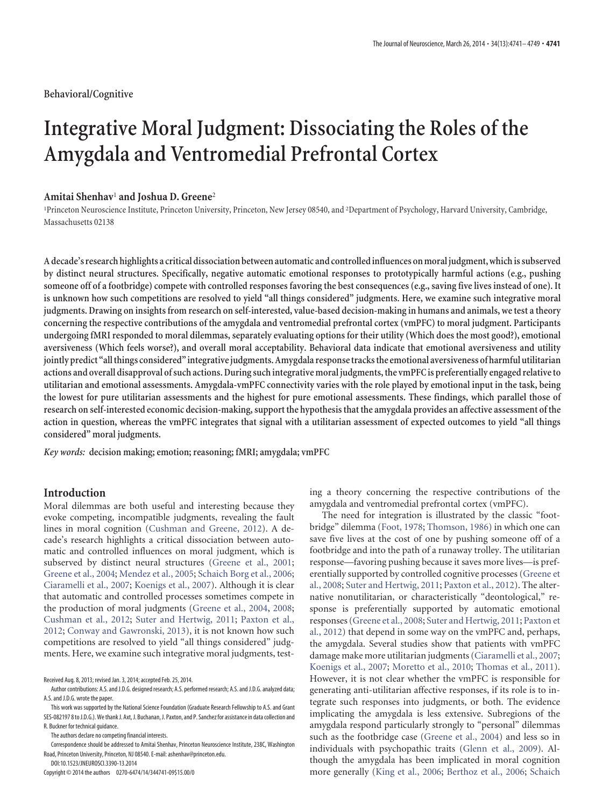## **Behavioral/Cognitive**

# **Integrative Moral Judgment: Dissociating the Roles of the Amygdala and Ventromedial Prefrontal Cortex**

# **Amitai Shenhav**<sup>1</sup> **and Joshua D. Greene**<sup>2</sup>

<sup>1</sup>Princeton Neuroscience Institute, Princeton University, Princeton, New Jersey 08540, and <sup>2</sup>Department of Psychology, Harvard University, Cambridge, Massachusetts 02138

**A decade's research highlights a critical dissociation between automatic and controlledinfluences onmoral judgment, whichis subserved by distinct neural structures. Specifically, negative automatic emotional responses to prototypically harmful actions (e.g., pushing someone off of a footbridge) compete with controlled responses favoring the best consequences (e.g., saving five lives instead of one). It is unknown how such competitions are resolved to yield "all things considered" judgments. Here, we examine such integrative moral judgments. Drawing on insights from research on self-interested, value-based decision-making in humans and animals, we test a theory concerning the respective contributions of the amygdala and ventromedial prefrontal cortex (vmPFC) to moral judgment. Participants undergoing fMRI responded to moral dilemmas, separately evaluating options for their utility (Which does the most good?), emotional aversiveness (Which feels worse?), and overall moral acceptability. Behavioral data indicate that emotional aversiveness and utility jointly predict "allthings considered"integrativejudgments. Amygdala responsetracksthe emotional aversiveness of harmfulutilitarian** actions and overall disapproval of such actions. During such integrative moral judgments, the vmPFC is preferentially engaged relative to **utilitarian and emotional assessments. Amygdala-vmPFC connectivity varies with the role played by emotional input in the task, being the lowest for pure utilitarian assessments and the highest for pure emotional assessments. These findings, which parallel those of research on self-interested economic decision-making, support the hypothesis that the amygdala provides an affective assessment of the action in question, whereas the vmPFC integrates that signal with a utilitarian assessment of expected outcomes to yield "all things considered" moral judgments.**

*Key words:* **decision making; emotion; reasoning; fMRI; amygdala; vmPFC**

## **Introduction**

Moral dilemmas are both useful and interesting because they evoke competing, incompatible judgments, revealing the fault lines in moral cognition [\(Cushman and Greene, 2012\)](#page-7-0). A decade's research highlights a critical dissociation between automatic and controlled influences on moral judgment, which is subserved by distinct neural structures [\(Greene et al., 2001;](#page-7-1) [Greene et al., 2004;](#page-7-2) [Mendez et al., 2005;](#page-7-3) [Schaich Borg et al., 2006;](#page-7-4) [Ciaramelli et al., 2007;](#page-7-5) [Koenigs et al., 2007\)](#page-7-6). Although it is clear that automatic and controlled processes sometimes compete in the production of moral judgments [\(Greene et al., 2004,](#page-7-2) [2008;](#page-7-7) [Cushman et al., 2012;](#page-7-8) [Suter and Hertwig, 2011;](#page-8-0) [Paxton et al.,](#page-7-9) [2012;](#page-7-9) [Conway and Gawronski, 2013\)](#page-7-10), it is not known how such competitions are resolved to yield "all things considered" judgments. Here, we examine such integrative moral judgments, test-

The authors declare no competing financial interests.

Correspondence should be addressed to Amitai Shenhav, Princeton Neuroscience Institute, 238C, Washington Road, Princeton University, Princeton, NJ 08540. E-mail: ashenhav@princeton.edu.

DOI:10.1523/JNEUROSCI.3390-13.2014

Copyright © 2014 the authors 0270-6474/14/344741-09\$15.00/0

ing a theory concerning the respective contributions of the amygdala and ventromedial prefrontal cortex (vmPFC).

The need for integration is illustrated by the classic "footbridge" dilemma [\(Foot, 1978;](#page-7-11) [Thomson, 1986\)](#page-8-1) in which one can save five lives at the cost of one by pushing someone off of a footbridge and into the path of a runaway trolley. The utilitarian response—favoring pushing because it saves more lives—is preferentially supported by controlled cognitive processes [\(Greene et](#page-7-7) [al., 2008;](#page-7-7) [Suter and Hertwig, 2011;](#page-8-0) [Paxton et al., 2012\)](#page-7-9). The alternative nonutilitarian, or characteristically "deontological," response is preferentially supported by automatic emotional responses [\(Greene et al., 2008;](#page-7-7) [Suter and Hertwig, 2011;](#page-8-0) [Paxton et](#page-7-9) [al., 2012\)](#page-7-9) that depend in some way on the vmPFC and, perhaps, the amygdala. Several studies show that patients with vmPFC damage make more utilitarian judgments [\(Ciaramelli et al., 2007;](#page-7-5) [Koenigs et al., 2007;](#page-7-6) [Moretto et al., 2010;](#page-7-12) [Thomas et al., 2011\)](#page-8-2). However, it is not clear whether the vmPFC is responsible for generating anti-utilitarian affective responses, if its role is to integrate such responses into judgments, or both. The evidence implicating the amygdala is less extensive. Subregions of the amygdala respond particularly strongly to "personal" dilemmas such as the footbridge case [\(Greene et al., 2004\)](#page-7-2) and less so in individuals with psychopathic traits [\(Glenn et al., 2009\)](#page-7-13). Although the amygdala has been implicated in moral cognition more generally [\(King et al., 2006;](#page-7-14) [Berthoz et al., 2006;](#page-7-15) [Schaich](#page-8-3)

Received Aug. 8, 2013; revised Jan. 3, 2014; accepted Feb. 25, 2014.

Author contributions: A.S. and J.D.G. designed research; A.S. performed research; A.S. and J.D.G. analyzed data; A.S. and J.D.G. wrote the paper.

This work was supported by the National Science Foundation (Graduate Research Fellowship to A.S. and Grant SES-082197 8 to J.D.G.). We thank J. Axt, J. Buchanan, J. Paxton, and P. Sanchez for assistance in data collection and R. Buckner for technical guidance.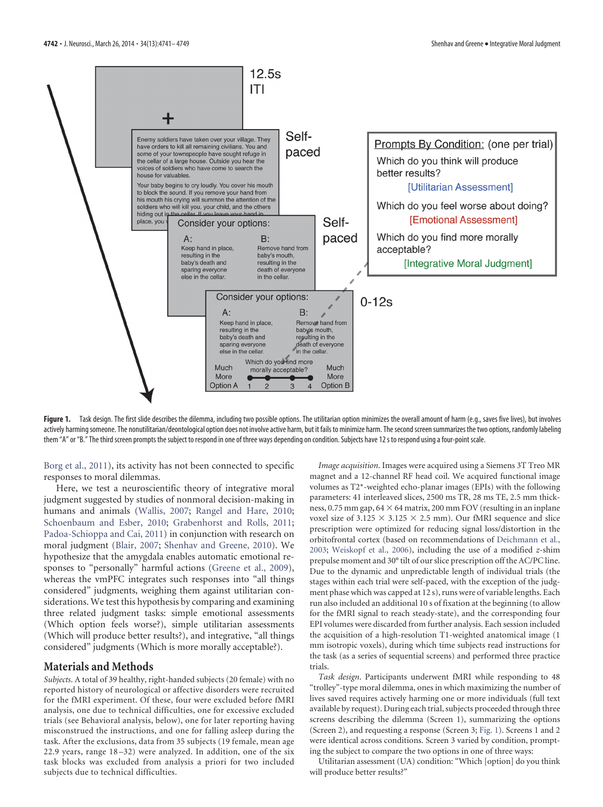

<span id="page-1-0"></span>Figure 1. Task design. The first slide describes the dilemma, including two possible options. The utilitarian option minimizes the overall amount of harm (e.g., saves five lives), but involves actively harming someone. The nonutilitarian/deontological option does not involve active harm, but it fails to minimize harm. The second screen summarizes the two options, randomly labeling them "A" or "B." The third screen prompts the subject to respond in one of three ways depending on condition. Subjects have 12 s to respond using a four-point scale.

[Borg et al., 2011\)](#page-8-3), its activity has not been connected to specific responses to moral dilemmas.

Here, we test a neuroscientific theory of integrative moral judgment suggested by studies of nonmoral decision-making in humans and animals [\(Wallis, 2007;](#page-8-4) [Rangel and Hare, 2010;](#page-7-16) [Schoenbaum and Esber, 2010;](#page-8-5) [Grabenhorst and Rolls, 2011;](#page-7-17) [Padoa-Schioppa and Cai, 2011\)](#page-7-18) in conjunction with research on moral judgment [\(Blair, 2007;](#page-7-19) [Shenhav and Greene, 2010\)](#page-8-6). We hypothesize that the amygdala enables automatic emotional responses to "personally" harmful actions [\(Greene et al., 2009\)](#page-7-20), whereas the vmPFC integrates such responses into "all things considered" judgments, weighing them against utilitarian considerations. We test this hypothesis by comparing and examining three related judgment tasks: simple emotional assessments (Which option feels worse?), simple utilitarian assessments (Which will produce better results?), and integrative, "all things considered" judgments (Which is more morally acceptable?).

## **Materials and Methods**

*Subjects*. A total of 39 healthy, right-handed subjects (20 female) with no reported history of neurological or affective disorders were recruited for the fMRI experiment. Of these, four were excluded before fMRI analysis, one due to technical difficulties, one for excessive excluded trials (see Behavioral analysis, below), one for later reporting having misconstrued the instructions, and one for falling asleep during the task. After the exclusions, data from 35 subjects (19 female, mean age 22.9 years, range 18 –32) were analyzed. In addition, one of the six task blocks was excluded from analysis a priori for two included subjects due to technical difficulties.

*Image acquisition*. Images were acquired using a Siemens 3T Treo MR magnet and a 12-channel RF head coil. We acquired functional image volumes as T2\*-weighted echo-planar images (EPIs) with the following parameters: 41 interleaved slices, 2500 ms TR, 28 ms TE, 2.5 mm thickness,  $0.75\,\mathrm{mm}$  gap,  $64\times64$  matrix,  $200\,\mathrm{mm}$  FOV (resulting in an inplane voxel size of 3.125  $\times$  3.125  $\times$  2.5 mm). Our fMRI sequence and slice prescription were optimized for reducing signal loss/distortion in the orbitofrontal cortex (based on recommendations of [Deichmann et al.,](#page-7-21) [2003;](#page-7-21) [Weiskopf et al., 2006\)](#page-8-7), including the use of a modified *z*-shim prepulse moment and 30° tilt of our slice prescription off the AC/PC line. Due to the dynamic and unpredictable length of individual trials (the stages within each trial were self-paced, with the exception of the judgment phase which was capped at 12 s), runs were of variable lengths. Each run also included an additional 10 s of fixation at the beginning (to allow for the fMRI signal to reach steady-state), and the corresponding four EPI volumes were discarded from further analysis. Each session included the acquisition of a high-resolution T1-weighted anatomical image (1 mm isotropic voxels), during which time subjects read instructions for the task (as a series of sequential screens) and performed three practice trials.

*Task design*. Participants underwent fMRI while responding to 48 "trolley"-type moral dilemma, ones in which maximizing the number of lives saved requires actively harming one or more individuals (full text available by request). During each trial, subjects proceeded through three screens describing the dilemma (Screen 1), summarizing the options (Screen 2), and requesting a response (Screen 3; [Fig. 1\)](#page-1-0). Screens 1 and 2 were identical across conditions. Screen 3 varied by condition, prompting the subject to compare the two options in one of three ways:

Utilitarian assessment (UA) condition: "Which [option] do you think will produce better results?"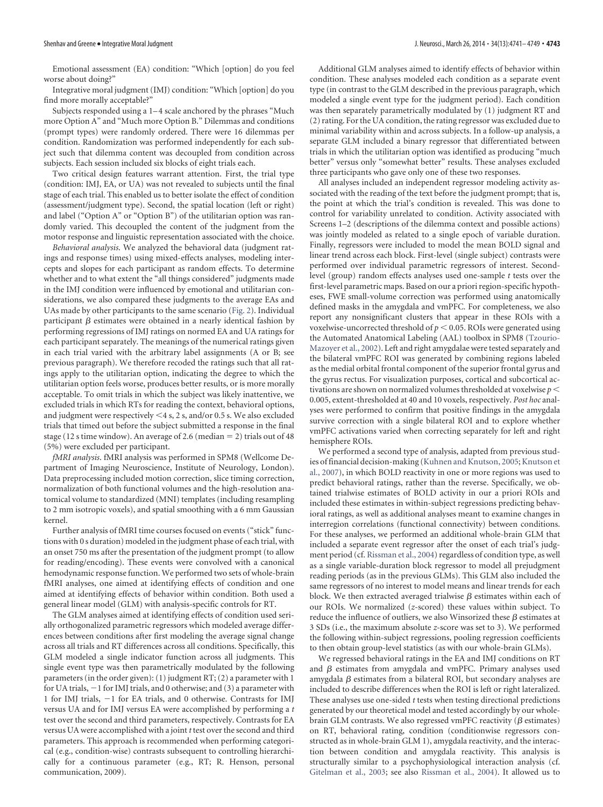Emotional assessment (EA) condition: "Which [option] do you feel worse about doing?"

Integrative moral judgment (IMJ) condition: "Which [option] do you find more morally acceptable?"

Subjects responded using a 1-4 scale anchored by the phrases "Much more Option A" and "Much more Option B." Dilemmas and conditions (prompt types) were randomly ordered. There were 16 dilemmas per condition. Randomization was performed independently for each subject such that dilemma content was decoupled from condition across subjects. Each session included six blocks of eight trials each.

Two critical design features warrant attention. First, the trial type (condition: IMJ, EA, or UA) was not revealed to subjects until the final stage of each trial. This enabled us to better isolate the effect of condition (assessment/judgment type). Second, the spatial location (left or right) and label ("Option A" or "Option B") of the utilitarian option was randomly varied. This decoupled the content of the judgment from the motor response and linguistic representation associated with the choice.

*Behavioral analysis*. We analyzed the behavioral data (judgment ratings and response times) using mixed-effects analyses, modeling intercepts and slopes for each participant as random effects. To determine whether and to what extent the "all things considered" judgments made in the IMJ condition were influenced by emotional and utilitarian considerations, we also compared these judgments to the average EAs and UAs made by other participants to the same scenario [\(Fig. 2\)](#page-3-0). Individual participant  $\beta$  estimates were obtained in a nearly identical fashion by performing regressions of IMJ ratings on normed EA and UA ratings for each participant separately. The meanings of the numerical ratings given in each trial varied with the arbitrary label assignments (A or B; see previous paragraph). We therefore recoded the ratings such that all ratings apply to the utilitarian option, indicating the degree to which the utilitarian option feels worse, produces better results, or is more morally acceptable. To omit trials in which the subject was likely inattentive, we excluded trials in which RTs for reading the context, behavioral options, and judgment were respectively  $\leq$  4 s, 2 s, and/or 0.5 s. We also excluded trials that timed out before the subject submitted a response in the final stage (12 s time window). An average of 2.6 (median  $= 2$ ) trials out of 48 (5%) were excluded per participant.

*fMRI analysis*. fMRI analysis was performed in SPM8 (Wellcome Department of Imaging Neuroscience, Institute of Neurology, London). Data preprocessing included motion correction, slice timing correction, normalization of both functional volumes and the high-resolution anatomical volume to standardized (MNI) templates (including resampling to 2 mm isotropic voxels), and spatial smoothing with a 6 mm Gaussian kernel.

Further analysis of fMRI time courses focused on events ("stick" functions with 0 s duration) modeled in the judgment phase of each trial, with an onset 750 ms after the presentation of the judgment prompt (to allow for reading/encoding). These events were convolved with a canonical hemodynamic response function. We performed two sets of whole-brain fMRI analyses, one aimed at identifying effects of condition and one aimed at identifying effects of behavior within condition. Both used a general linear model (GLM) with analysis-specific controls for RT.

The GLM analyses aimed at identifying effects of condition used serially orthogonalized parametric regressors which modeled average differences between conditions after first modeling the average signal change across all trials and RT differences across all conditions. Specifically, this GLM modeled a single indicator function across all judgments. This single event type was then parametrically modulated by the following parameters (in the order given): (1) judgment RT; (2) a parameter with 1 for UA trials,  $-1$  for IMJ trials, and 0 otherwise; and (3) a parameter with 1 for IMJ trials,  $-1$  for EA trials, and 0 otherwise. Contrasts for IMJ versus UA and for IMJ versus EA were accomplished by performing a *t* test over the second and third parameters, respectively. Contrasts for EA versus UA were accomplished with a joint *t* test over the second and third parameters. This approach is recommended when performing categorical (e.g., condition-wise) contrasts subsequent to controlling hierarchically for a continuous parameter (e.g., RT; R. Henson, personal communication, 2009).

Additional GLM analyses aimed to identify effects of behavior within condition. These analyses modeled each condition as a separate event type (in contrast to the GLM described in the previous paragraph, which modeled a single event type for the judgment period). Each condition was then separately parametrically modulated by (1) judgment RT and (2) rating. For the UA condition, the rating regressor was excluded due to minimal variability within and across subjects. In a follow-up analysis, a separate GLM included a binary regressor that differentiated between trials in which the utilitarian option was identified as producing "much better" versus only "somewhat better" results. These analyses excluded three participants who gave only one of these two responses.

All analyses included an independent regressor modeling activity associated with the reading of the text before the judgment prompt; that is, the point at which the trial's condition is revealed. This was done to control for variability unrelated to condition. Activity associated with Screens 1–2 (descriptions of the dilemma context and possible actions) was jointly modeled as related to a single epoch of variable duration. Finally, regressors were included to model the mean BOLD signal and linear trend across each block. First-level (single subject) contrasts were performed over individual parametric regressors of interest. Secondlevel (group) random effects analyses used one-sample *t* tests over the first-level parametric maps. Based on our a priori region-specific hypotheses, FWE small-volume correction was performed using anatomically defined masks in the amygdala and vmPFC. For completeness, we also report any nonsignificant clusters that appear in these ROIs with a voxelwise-uncorrected threshold of  $p < 0.05$ . ROIs were generated using the Automated Anatomical Labeling (AAL) toolbox in SPM8 [\(Tzourio-](#page-8-8)[Mazoyer et al., 2002\)](#page-8-8). Left and right amygdalae were tested separately and the bilateral vmPFC ROI was generated by combining regions labeled as the medial orbital frontal component of the superior frontal gyrus and the gyrus rectus. For visualization purposes, cortical and subcortical activations are shown on normalized volumes thresholded at voxelwise *p* 0.005, extent-thresholded at 40 and 10 voxels, respectively. *Post hoc* analyses were performed to confirm that positive findings in the amygdala survive correction with a single bilateral ROI and to explore whether vmPFC activations varied when correcting separately for left and right hemisphere ROIs.

We performed a second type of analysis, adapted from previous stud-ies of financial decision-making [\(Kuhnen and Knutson, 2005;](#page-7-22) [Knutson et](#page-7-23) [al., 2007\)](#page-7-23), in which BOLD reactivity in one or more regions was used to predict behavioral ratings, rather than the reverse. Specifically, we obtained trialwise estimates of BOLD activity in our a priori ROIs and included these estimates in within-subject regressions predicting behavioral ratings, as well as additional analyses meant to examine changes in interregion correlations (functional connectivity) between conditions. For these analyses, we performed an additional whole-brain GLM that included a separate event regressor after the onset of each trial's judgment period (cf. [Rissman et al., 2004\)](#page-7-24) regardless of condition type, as well as a single variable-duration block regressor to model all prejudgment reading periods (as in the previous GLMs). This GLM also included the same regressors of no interest to model means and linear trends for each block. We then extracted averaged trialwise  $\beta$  estimates within each of our ROIs. We normalized (*z*-scored) these values within subject. To reduce the influence of outliers, we also Winsorized these  $\beta$  estimates at 3 SDs (i.e., the maximum absolute *z*-score was set to 3). We performed the following within-subject regressions, pooling regression coefficients to then obtain group-level statistics (as with our whole-brain GLMs).

We regressed behavioral ratings in the EA and IMJ conditions on RT and  $\beta$  estimates from amygdala and vmPFC. Primary analyses used amygdala  $\beta$  estimates from a bilateral ROI, but secondary analyses are included to describe differences when the ROI is left or right lateralized. These analyses use one-sided *t* tests when testing directional predictions generated by our theoretical model and tested accordingly by our wholebrain GLM contrasts. We also regressed vmPFC reactivity ( $\beta$  estimates) on RT, behavioral rating, condition (conditionwise regressors constructed as in whole-brain GLM 1), amygdala reactivity, and the interaction between condition and amygdala reactivity. This analysis is structurally similar to a psychophysiological interaction analysis (cf. [Gitelman et al., 2003;](#page-7-25) see also [Rissman et al., 2004\)](#page-7-24). It allowed us to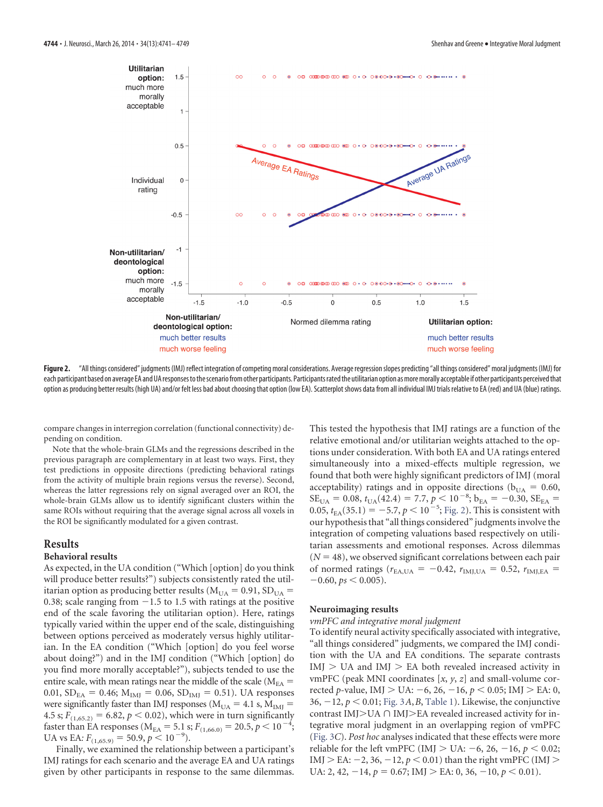

<span id="page-3-0"></span>**Figure 2.** "All things considered" judgments (IMJ) reflect integration of competing moral considerations. Average regressionslopes predicting "all thingsconsidered" moral judgments (IMJ) for each participant based on average EA and UA responses to the scenario from other participants. Participants rated the utilitarian option as more morally acceptable if other participants perceived that option as producing better results (high UA) and/or felt less bad about choosing that option (low EA). Scatterplot shows data from all individual IMJ trials relative to EA (red) and UA (blue) ratings.

compare changes in interregion correlation (functional connectivity) depending on condition.

Note that the whole-brain GLMs and the regressions described in the previous paragraph are complementary in at least two ways. First, they test predictions in opposite directions (predicting behavioral ratings from the activity of multiple brain regions versus the reverse). Second, whereas the latter regressions rely on signal averaged over an ROI, the whole-brain GLMs allow us to identify significant clusters within the same ROIs without requiring that the average signal across all voxels in the ROI be significantly modulated for a given contrast.

## **Results**

### **Behavioral results**

As expected, in the UA condition ("Which [option] do you think will produce better results?") subjects consistently rated the utilitarian option as producing better results ( $M_{UA} = 0.91$ ,  $SD_{UA} =$ 0.38; scale ranging from  $-1.5$  to 1.5 with ratings at the positive end of the scale favoring the utilitarian option). Here, ratings typically varied within the upper end of the scale, distinguishing between options perceived as moderately versus highly utilitarian. In the EA condition ("Which [option] do you feel worse about doing?") and in the IMJ condition ("Which [option] do you find more morally acceptable?"), subjects tended to use the entire scale, with mean ratings near the middle of the scale ( $M_{EA}$  = 0.01,  $SD_{EA} = 0.46$ ;  $M_{IMJ} = 0.06$ ,  $SD_{IMJ} = 0.51$ ). UA responses were significantly faster than IMJ responses ( $M_{UA} = 4.1$  s,  $M_{IMI} =$ 4.5 s;  $F_{(1,65.2)} = 6.82, p < 0.02$ ), which were in turn significantly faster than EA responses ( $M_{EA} = 5.1$  s;  $F_{(1,66.0)} = 20.5, p < 10^{-4}$ ; UA vs EA:  $F_{(1,65.9)} = 50.9, p < 10^{-9}$ .

Finally, we examined the relationship between a participant's IMJ ratings for each scenario and the average EA and UA ratings given by other participants in response to the same dilemmas.

This tested the hypothesis that IMJ ratings are a function of the relative emotional and/or utilitarian weights attached to the options under consideration. With both EA and UA ratings entered simultaneously into a mixed-effects multiple regression, we found that both were highly significant predictors of IMJ (moral acceptability) ratings and in opposite directions ( $b_{UA} = 0.60$ ,  $SE_{\text{UA}} = 0.08, t_{\text{UA}}(42.4) = 7.7, p < 10^{-8}; b_{\text{EA}} = -0.30, SE_{\text{EA}} =$  $0.05, t_{EA}(35.1) = -5.7, p < 10^{-5}$ ; [Fig. 2\)](#page-3-0). This is consistent with our hypothesis that "all things considered" judgments involve the integration of competing valuations based respectively on utilitarian assessments and emotional responses. Across dilemmas  $(N = 48)$ , we observed significant correlations between each pair of normed ratings ( $r_{EA, UA} = -0.42$ ,  $r_{IMJ, UA} = 0.52$ ,  $r_{IMJ, EA} =$  $-0.60$ ,  $ps < 0.005$ ).

#### **Neuroimaging results**

#### *vmPFC and integrative moral judgment*

To identify neural activity specifically associated with integrative, "all things considered" judgments, we compared the IMJ condition with the UA and EA conditions. The separate contrasts  $IMJ > UA$  and  $IMJ > EA$  both revealed increased activity in vmPFC (peak MNI coordinates [*x*, *y*, *z*] and small-volume corrected *p*-value, IMJ > UA: -6, 26, -16,  $p$  < 0.05; IMJ > EA: 0, 36,  $-12$ ,  $p < 0.01$ ; [Fig. 3](#page-4-0)*A*, *B*, [Table 1\)](#page-5-0). Likewise, the conjunctive contrast IMJ $>$ UA  $\cap$  IMJ $>$ EA revealed increased activity for integrative moral judgment in an overlapping region of vmPFC [\(Fig. 3](#page-4-0)*C*). *Post hoc* analyses indicated that these effects were more reliable for the left vmPFC (IMJ  $>$  UA:  $-6$ , 26,  $-16$ ,  $p < 0.02$ ; IMJ > EA:  $-2$ , 36,  $-12$ ,  $p < 0.01$ ) than the right vmPFC (IMJ > UA: 2, 42,  $-14$ ,  $p = 0.67$ ; IMJ  $>$  EA: 0, 36,  $-10$ ,  $p < 0.01$ ).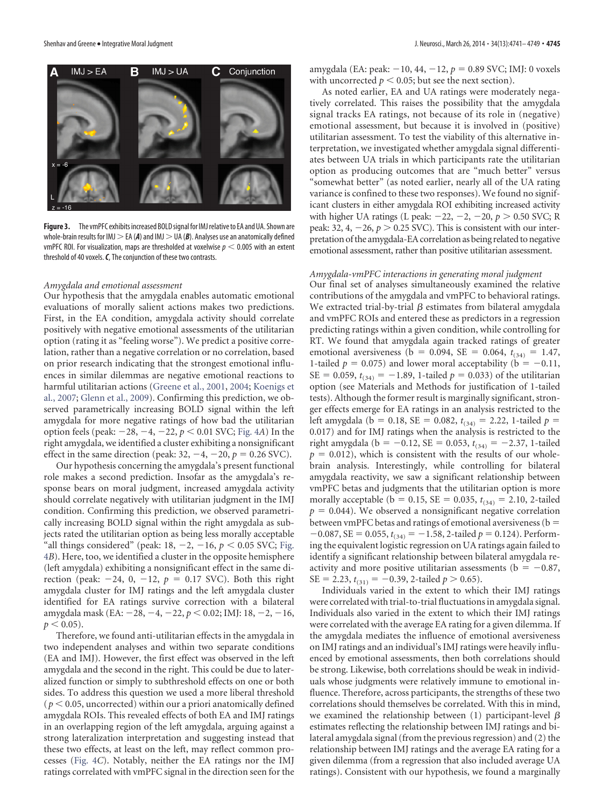

<span id="page-4-0"></span>Figure 3. The vmPFC exhibits increased BOLD signal for IMJ relative to EA and UA. Shown are whole-brain results for IMJ  $>$  EA (A) and IMJ  $>$  UA (B). Analyses use an anatomically defined vmPFC ROI. For visualization, maps are thresholded at voxelwise  $p < 0.005$  with an extent threshold of 40 voxels.*C*, The conjunction of these two contrasts.

#### *Amygdala and emotional assessment*

Our hypothesis that the amygdala enables automatic emotional evaluations of morally salient actions makes two predictions. First, in the EA condition, amygdala activity should correlate positively with negative emotional assessments of the utilitarian option (rating it as "feeling worse"). We predict a positive correlation, rather than a negative correlation or no correlation, based on prior research indicating that the strongest emotional influences in similar dilemmas are negative emotional reactions to harmful utilitarian actions [\(Greene et al., 2001,](#page-7-1) [2004;](#page-7-2) [Koenigs et](#page-7-6) [al., 2007;](#page-7-6) [Glenn et al., 2009\)](#page-7-13). Confirming this prediction, we observed parametrically increasing BOLD signal within the left amygdala for more negative ratings of how bad the utilitarian option feels (peak:  $-28$ ,  $-4$ ,  $-22$ ,  $p < 0.01$  SVC; [Fig. 4](#page-5-1)*A*) In the right amygdala, we identified a cluster exhibiting a nonsignificant effect in the same direction (peak:  $32, -4, -20, p = 0.26$  SVC).

Our hypothesis concerning the amygdala's present functional role makes a second prediction. Insofar as the amygdala's response bears on moral judgment, increased amygdala activity should correlate negatively with utilitarian judgment in the IMJ condition. Confirming this prediction, we observed parametrically increasing BOLD signal within the right amygdala as subjects rated the utilitarian option as being less morally acceptable "all things considered" (peak:  $18, -2, -16, p < 0.05$  SVC; [Fig.](#page-5-1) [4](#page-5-1)*B*). Here, too, we identified a cluster in the opposite hemisphere (left amygdala) exhibiting a nonsignificant effect in the same direction (peak:  $-24$ , 0,  $-12$ ,  $p = 0.17$  SVC). Both this right amygdala cluster for IMJ ratings and the left amygdala cluster identified for EA ratings survive correction with a bilateral amygdala mask (EA: -28, -4, -22,  $p < 0.02$ ; IMJ: 18, -2, -16,  $p < 0.05$ ).

Therefore, we found anti-utilitarian effects in the amygdala in two independent analyses and within two separate conditions (EA and IMJ). However, the first effect was observed in the left amygdala and the second in the right. This could be due to lateralized function or simply to subthreshold effects on one or both sides. To address this question we used a more liberal threshold  $(p < 0.05$ , uncorrected) within our a priori anatomically defined amygdala ROIs. This revealed effects of both EA and IMJ ratings in an overlapping region of the left amygdala, arguing against a strong lateralization interpretation and suggesting instead that these two effects, at least on the left, may reflect common processes [\(Fig. 4](#page-5-1)*C*). Notably, neither the EA ratings nor the IMJ ratings correlated with vmPFC signal in the direction seen for the amygdala (EA: peak: -10, 44, -12,  $p = 0.89$  SVC; IMJ: 0 voxels with uncorrected  $p < 0.05$ ; but see the next section).

As noted earlier, EA and UA ratings were moderately negatively correlated. This raises the possibility that the amygdala signal tracks EA ratings, not because of its role in (negative) emotional assessment, but because it is involved in (positive) utilitarian assessment. To test the viability of this alternative interpretation, we investigated whether amygdala signal differentiates between UA trials in which participants rate the utilitarian option as producing outcomes that are "much better" versus "somewhat better" (as noted earlier, nearly all of the UA rating variance is confined to these two responses). We found no significant clusters in either amygdala ROI exhibiting increased activity with higher UA ratings (L peak:  $-22$ ,  $-2$ ,  $-20$ ,  $p > 0.50$  SVC; R peak: 32,  $4, -26, p > 0.25$  SVC). This is consistent with our interpretation of the amygdala-EA correlation as being related to negative emotional assessment, rather than positive utilitarian assessment.

#### *Amygdala-vmPFC interactions in generating moral judgment*

Our final set of analyses simultaneously examined the relative contributions of the amygdala and vmPFC to behavioral ratings. We extracted trial-by-trial  $\beta$  estimates from bilateral amygdala and vmPFC ROIs and entered these as predictors in a regression predicting ratings within a given condition, while controlling for RT. We found that amygdala again tracked ratings of greater emotional aversiveness (b = 0.094, SE = 0.064,  $t_{(34)} = 1.47$ , 1-tailed  $p = 0.075$ ) and lower moral acceptability ( $b = -0.11$ , SE = 0.059,  $t_{(34)} = -1.89$ , 1-tailed  $p = 0.033$ ) of the utilitarian option (see Materials and Methods for justification of 1-tailed tests). Although the former result is marginally significant, stronger effects emerge for EA ratings in an analysis restricted to the left amygdala (b = 0.18, SE = 0.082,  $t_{(34)} = 2.22$ , 1-tailed  $p =$ 0.017) and for IMJ ratings when the analysis is restricted to the right amygdala (b = -0.12, SE = 0.053,  $t_{(34)} = -2.37$ , 1-tailed  $p = 0.012$ ), which is consistent with the results of our wholebrain analysis. Interestingly, while controlling for bilateral amygdala reactivity, we saw a significant relationship between vmPFC betas and judgments that the utilitarian option is more morally acceptable ( $b = 0.15$ , SE = 0.035,  $t_{(34)} = 2.10$ , 2-tailed  $p = 0.044$ ). We observed a nonsignificant negative correlation between vmPFC betas and ratings of emotional aversiveness (b  $-0.087$ , SE = 0.055,  $t_{(34)} = -1.58$ , 2-tailed  $p = 0.124$ ). Performing the equivalent logistic regression on UA ratings again failed to identify a significant relationship between bilateral amygdala reactivity and more positive utilitarian assessments ( $b = -0.87$ ,  $SE = 2.23$ ,  $t_{(31)} = -0.39$ , 2-tailed  $p > 0.65$ ).

Individuals varied in the extent to which their IMJ ratings were correlated with trial-to-trial fluctuations in amygdala signal. Individuals also varied in the extent to which their IMJ ratings were correlated with the average EA rating for a given dilemma. If the amygdala mediates the influence of emotional aversiveness on IMJ ratings and an individual's IMJ ratings were heavily influenced by emotional assessments, then both correlations should be strong. Likewise, both correlations should be weak in individuals whose judgments were relatively immune to emotional influence. Therefore, across participants, the strengths of these two correlations should themselves be correlated. With this in mind, we examined the relationship between (1) participant-level  $\beta$ estimates reflecting the relationship between IMJ ratings and bilateral amygdala signal (from the previous regression) and (2) the relationship between IMJ ratings and the average EA rating for a given dilemma (from a regression that also included average UA ratings). Consistent with our hypothesis, we found a marginally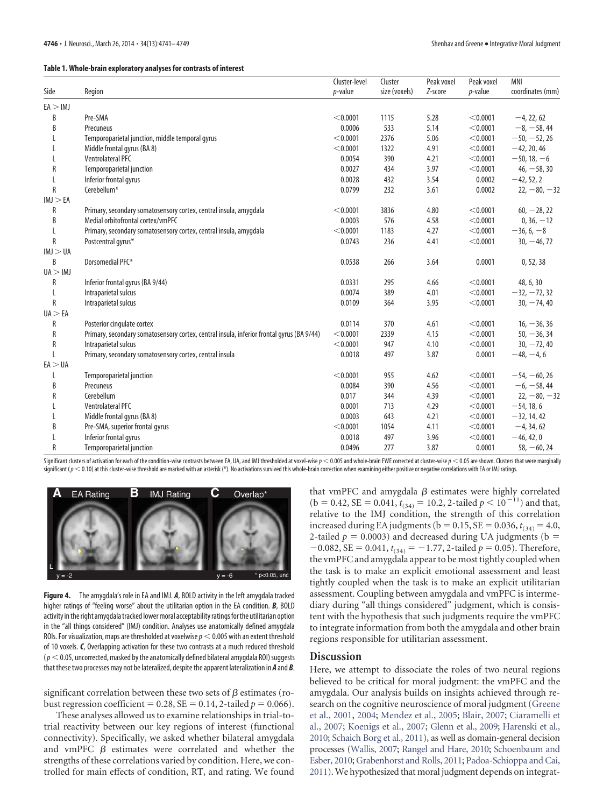<span id="page-5-0"></span>

|           |                                                                                           | Cluster-level | Cluster       | Peak voxel | Peak voxel | <b>MNI</b>       |
|-----------|-------------------------------------------------------------------------------------------|---------------|---------------|------------|------------|------------------|
| Side      | Region                                                                                    | $p$ -value    | size (voxels) | Z-score    | $p$ -value | coordinates (mm) |
| EA > IMJ  |                                                                                           |               |               |            |            |                  |
| B         | Pre-SMA                                                                                   | < 0.0001      | 1115          | 5.28       | < 0.0001   | $-4, 22, 62$     |
| B         | Precuneus                                                                                 | 0.0006        | 533           | 5.14       | < 0.0001   | $-8, -58, 44$    |
|           | Temporoparietal junction, middle temporal gyrus                                           | < 0.0001      | 2376          | 5.06       | < 0.0001   | $-50, -52, 26$   |
|           | Middle frontal gyrus (BA 8)                                                               | < 0.0001      | 1322          | 4.91       | < 0.0001   | $-42, 20, 46$    |
|           | <b>Ventrolateral PFC</b>                                                                  | 0.0054        | 390           | 4.21       | < 0.0001   | $-50, 18, -6$    |
| R         | Temporoparietal junction                                                                  | 0.0027        | 434           | 3.97       | < 0.0001   | $46, -58, 30$    |
|           | Inferior frontal gyrus                                                                    | 0.0028        | 432           | 3.54       | 0.0002     | $-42, 52, 2$     |
| R         | Cerebellum <sup>*</sup>                                                                   | 0.0799        | 232           | 3.61       | 0.0002     | $22, -80, -32$   |
| IMJ > EA  |                                                                                           |               |               |            |            |                  |
| R         | Primary, secondary somatosensory cortex, central insula, amygdala                         | < 0.0001      | 3836          | 4.80       | < 0.0001   | $60, -28, 22$    |
| B         | Medial orbitofrontal cortex/vmPFC                                                         | 0.0003        | 576           | 4.58       | < 0.0001   | $0, 36, -12$     |
|           | Primary, secondary somatosensory cortex, central insula, amygdala                         | < 0.0001      | 1183          | 4.27       | < 0.0001   | $-36, 6, -8$     |
| R         | Postcentral gyrus*                                                                        | 0.0743        | 236           | 4.41       | < 0.0001   | $30, -46, 72$    |
| IMJ > UA  |                                                                                           |               |               |            |            |                  |
| B         | Dorsomedial PFC*                                                                          | 0.0538        | 266           | 3.64       | 0.0001     | 0, 52, 38        |
| UA > IMJ  |                                                                                           |               |               |            |            |                  |
| R         | Inferior frontal gyrus (BA 9/44)                                                          | 0.0331        | 295           | 4.66       | < 0.0001   | 48, 6, 30        |
| L         | Intraparietal sulcus                                                                      | 0.0074        | 389           | 4.01       | < 0.0001   | $-32, -72, 32$   |
| R         | Intraparietal sulcus                                                                      | 0.0109        | 364           | 3.95       | < 0.0001   | $30, -74, 40$    |
| UA > EA   |                                                                                           |               |               |            |            |                  |
| R         | Posterior cingulate cortex                                                                | 0.0114        | 370           | 4.61       | < 0.0001   | $16, -36, 36$    |
| R         | Primary, secondary somatosensory cortex, central insula, inferior frontal gyrus (BA 9/44) | < 0.0001      | 2339          | 4.15       | < 0.0001   | $50, -36, 34$    |
| ${\sf R}$ | Intraparietal sulcus                                                                      | < 0.0001      | 947           | 4.10       | < 0.0001   | $30, -72, 40$    |
| L         | Primary, secondary somatosensory cortex, central insula                                   | 0.0018        | 497           | 3.87       | 0.0001     | $-48, -4, 6$     |
| EA > UA   |                                                                                           |               |               |            |            |                  |
|           | <b>Temporoparietal junction</b>                                                           | < 0.0001      | 955           | 4.62       | < 0.0001   | $-54, -60, 26$   |
| B         | Precuneus                                                                                 | 0.0084        | 390           | 4.56       | < 0.0001   | $-6, -58, 44$    |
| R         | Cerebellum                                                                                | 0.017         | 344           | 4.39       | < 0.0001   | $22, -80, -32$   |
|           | <b>Ventrolateral PFC</b>                                                                  | 0.0001        | 713           | 4.29       | < 0.0001   | $-54, 18, 6$     |
| 1         | Middle frontal gyrus (BA 8)                                                               | 0.0003        | 643           | 4.21       | < 0.0001   | $-32, 14, 42$    |
| B         | Pre-SMA, superior frontal gyrus                                                           | < 0.0001      | 1054          | 4.11       | < 0.0001   | $-4, 34, 62$     |
|           | Inferior frontal gyrus                                                                    | 0.0018        | 497           | 3.96       | < 0.0001   | $-46, 42, 0$     |
| R         | <b>Temporoparietal junction</b>                                                           | 0.0496        | 277           | 3.87       | 0.0001     | $58, -60, 24$    |

Significant clusters of activation for each of the condition-wise contrasts between EA, UA, and IMJ thresholded at voxel-wise  $p < 0.005$  and whole-brain FWE corrected at duster-wise  $p < 0.05$  are shown. Clusters that were significant ( $p < 0.10$ ) at this cluster-wise threshold are marked with an asterisk (\*). No activations survived this whole-brain correction when examining either positive or negative correlations with EA or IMJ ratings.



<span id="page-5-1"></span>**Figure 4.** The amygdala's role in EA and IMJ. *A*, BOLD activity in the left amygdala tracked higher ratings of "feeling worse" about the utilitarian option in the EA condition. *B*, BOLD activity in the right amygdala tracked lower moral acceptability ratings for the utilitarian option in the "all things considered" (IMJ) condition. Analyses use anatomically defined amygdala ROIs. For visualization, maps are thresholded at voxelwise  $p < 0.005$  with an extent threshold of 10 voxels. *C*, Overlapping activation for these two contrasts at a much reduced threshold  $(p<$  0.05, uncorrected, masked by the anatomically defined bilateral amygdala ROI) suggests that these two processes may not be lateralized, despite the apparent lateralization in *A* and *B*.

significant correlation between these two sets of  $\beta$  estimates (robust regression coefficient =  $0.28$ , SE =  $0.14$ , 2-tailed  $p = 0.066$ ).

These analyses allowed us to examine relationships in trial-totrial reactivity between our key regions of interest (functional connectivity). Specifically, we asked whether bilateral amygdala and vmPFC  $\beta$  estimates were correlated and whether the strengths of these correlations varied by condition. Here, we controlled for main effects of condition, RT, and rating. We found

that vmPFC and amygdala  $\beta$  estimates were highly correlated  $(b = 0.42, SE = 0.041, t_{(34)} = 10.2, 2$ -tailed  $p < 10^{-11}$ ) and that, relative to the IMJ condition, the strength of this correlation increased during EA judgments ( $b = 0.15$ , SE = 0.036,  $t_{(34)} = 4.0$ , 2-tailed  $p = 0.0003$ ) and decreased during UA judgments (b =  $-0.082$ , SE = 0.041,  $t_{(34)} = -1.77$ , 2-tailed  $p = 0.05$ ). Therefore, the vmPFC and amygdala appear to be most tightly coupled when the task is to make an explicit emotional assessment and least tightly coupled when the task is to make an explicit utilitarian assessment. Coupling between amygdala and vmPFC is intermediary during "all things considered" judgment, which is consistent with the hypothesis that such judgments require the vmPFC to integrate information from both the amygdala and other brain regions responsible for utilitarian assessment.

## **Discussion**

Here, we attempt to dissociate the roles of two neural regions believed to be critical for moral judgment: the vmPFC and the amygdala. Our analysis builds on insights achieved through research on the cognitive neuroscience of moral judgment [\(Greene](#page-7-1) [et al., 2001,](#page-7-1) [2004;](#page-7-2) [Mendez et al., 2005;](#page-7-3) [Blair, 2007;](#page-7-19) [Ciaramelli et](#page-7-5) [al., 2007;](#page-7-5) [Koenigs et al., 2007;](#page-7-6) [Glenn et al., 2009;](#page-7-13) [Harenski et al.,](#page-7-26) [2010;](#page-7-26) [Schaich Borg et al., 2011\)](#page-8-3), as well as domain-general decision processes [\(Wallis, 2007;](#page-8-4) [Rangel and Hare, 2010;](#page-7-16) [Schoenbaum and](#page-8-5) [Esber, 2010;](#page-8-5) [Grabenhorst and Rolls, 2011;](#page-7-17) [Padoa-Schioppa and Cai,](#page-7-18) [2011\)](#page-7-18). We hypothesized that moral judgment depends on integrat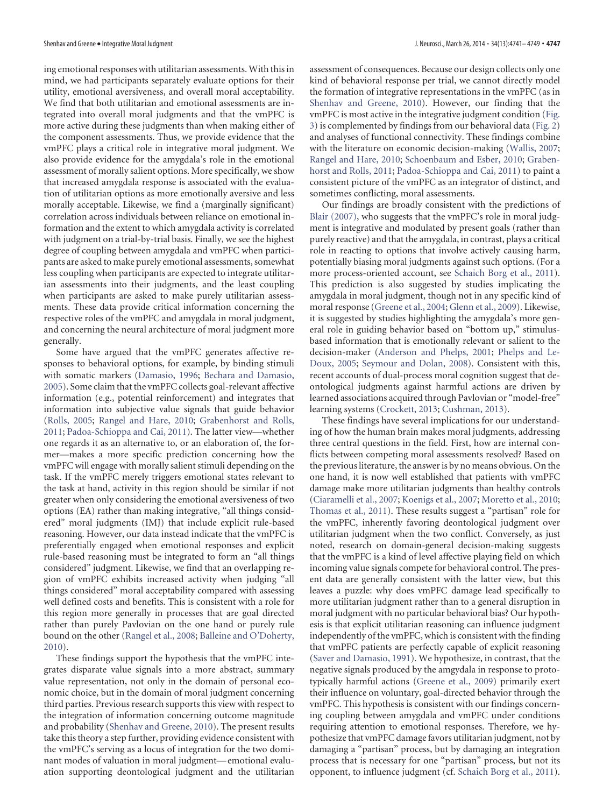ing emotional responses with utilitarian assessments. With this in mind, we had participants separately evaluate options for their utility, emotional aversiveness, and overall moral acceptability. We find that both utilitarian and emotional assessments are integrated into overall moral judgments and that the vmPFC is more active during these judgments than when making either of the component assessments. Thus, we provide evidence that the vmPFC plays a critical role in integrative moral judgment. We also provide evidence for the amygdala's role in the emotional assessment of morally salient options. More specifically, we show that increased amygdala response is associated with the evaluation of utilitarian options as more emotionally aversive and less morally acceptable. Likewise, we find a (marginally significant) correlation across individuals between reliance on emotional information and the extent to which amygdala activity is correlated with judgment on a trial-by-trial basis. Finally, we see the highest degree of coupling between amygdala and vmPFC when participants are asked to make purely emotional assessments, somewhat less coupling when participants are expected to integrate utilitarian assessments into their judgments, and the least coupling when participants are asked to make purely utilitarian assessments. These data provide critical information concerning the respective roles of the vmPFC and amygdala in moral judgment, and concerning the neural architecture of moral judgment more generally.

Some have argued that the vmPFC generates affective responses to behavioral options, for example, by binding stimuli with somatic markers [\(Damasio, 1996;](#page-7-27) [Bechara and Damasio,](#page-7-28) [2005\)](#page-7-28). Some claim that the vmPFC collects goal-relevant affective information (e.g., potential reinforcement) and integrates that information into subjective value signals that guide behavior [\(Rolls, 2005;](#page-7-29) [Rangel and Hare, 2010;](#page-7-16) [Grabenhorst and Rolls,](#page-7-17) [2011;](#page-7-17) [Padoa-Schioppa and Cai, 2011\)](#page-7-18). The latter view—whether one regards it as an alternative to, or an elaboration of, the former—makes a more specific prediction concerning how the vmPFC will engage with morally salient stimuli depending on the task. If the vmPFC merely triggers emotional states relevant to the task at hand, activity in this region should be similar if not greater when only considering the emotional aversiveness of two options (EA) rather than making integrative, "all things considered" moral judgments (IMJ) that include explicit rule-based reasoning. However, our data instead indicate that the vmPFC is preferentially engaged when emotional responses and explicit rule-based reasoning must be integrated to form an "all things considered" judgment. Likewise, we find that an overlapping region of vmPFC exhibits increased activity when judging "all things considered" moral acceptability compared with assessing well defined costs and benefits. This is consistent with a role for this region more generally in processes that are goal directed rather than purely Pavlovian on the one hand or purely rule bound on the other [\(Rangel et al., 2008;](#page-7-30) [Balleine and O'Doherty,](#page-7-31) [2010\)](#page-7-31).

These findings support the hypothesis that the vmPFC integrates disparate value signals into a more abstract, summary value representation, not only in the domain of personal economic choice, but in the domain of moral judgment concerning third parties. Previous research supports this view with respect to the integration of information concerning outcome magnitude and probability [\(Shenhav and Greene, 2010\)](#page-8-6). The present results take this theory a step further, providing evidence consistent with the vmPFC's serving as a locus of integration for the two dominant modes of valuation in moral judgment— emotional evaluation supporting deontological judgment and the utilitarian assessment of consequences. Because our design collects only one kind of behavioral response per trial, we cannot directly model the formation of integrative representations in the vmPFC (as in [Shenhav and Greene, 2010\)](#page-8-6). However, our finding that the vmPFC is most active in the integrative judgment condition [\(Fig.](#page-4-0) [3\)](#page-4-0) is complemented by findings from our behavioral data [\(Fig. 2\)](#page-3-0) and analyses of functional connectivity. These findings combine with the literature on economic decision-making [\(Wallis, 2007;](#page-8-4) [Rangel and Hare, 2010;](#page-7-16) [Schoenbaum and Esber, 2010;](#page-8-5) [Graben](#page-7-17)[horst and Rolls, 2011;](#page-7-17) [Padoa-Schioppa and Cai, 2011\)](#page-7-18) to paint a consistent picture of the vmPFC as an integrator of distinct, and sometimes conflicting, moral assessments.

Our findings are broadly consistent with the predictions of [Blair \(2007\),](#page-7-19) who suggests that the vmPFC's role in moral judgment is integrative and modulated by present goals (rather than purely reactive) and that the amygdala, in contrast, plays a critical role in reacting to options that involve actively causing harm, potentially biasing moral judgments against such options. (For a more process-oriented account, see [Schaich Borg et al., 2011\)](#page-8-3). This prediction is also suggested by studies implicating the amygdala in moral judgment, though not in any specific kind of moral response [\(Greene et al., 2004;](#page-7-2) [Glenn et al., 2009\)](#page-7-13). Likewise, it is suggested by studies highlighting the amygdala's more general role in guiding behavior based on "bottom up," stimulusbased information that is emotionally relevant or salient to the decision-maker [\(Anderson and Phelps, 2001;](#page-7-32) [Phelps and Le-](#page-7-33)[Doux, 2005;](#page-7-33) [Seymour and Dolan, 2008\)](#page-8-9). Consistent with this, recent accounts of dual-process moral cognition suggest that deontological judgments against harmful actions are driven by learned associations acquired through Pavlovian or "model-free" learning systems [\(Crockett, 2013;](#page-7-34) [Cushman, 2013\)](#page-7-35).

These findings have several implications for our understanding of how the human brain makes moral judgments, addressing three central questions in the field. First, how are internal conflicts between competing moral assessments resolved? Based on the previous literature, the answer is by no means obvious. On the one hand, it is now well established that patients with vmPFC damage make more utilitarian judgments than healthy controls [\(Ciaramelli et al., 2007;](#page-7-5) [Koenigs et al., 2007;](#page-7-6) [Moretto et al., 2010;](#page-7-12) [Thomas et al., 2011\)](#page-8-2). These results suggest a "partisan" role for the vmPFC, inherently favoring deontological judgment over utilitarian judgment when the two conflict. Conversely, as just noted, research on domain-general decision-making suggests that the vmPFC is a kind of level affective playing field on which incoming value signals compete for behavioral control. The present data are generally consistent with the latter view, but this leaves a puzzle: why does vmPFC damage lead specifically to more utilitarian judgment rather than to a general disruption in moral judgment with no particular behavioral bias? Our hypothesis is that explicit utilitarian reasoning can influence judgment independently of the vmPFC, which is consistent with the finding that vmPFC patients are perfectly capable of explicit reasoning [\(Saver and Damasio, 1991\)](#page-7-36). We hypothesize, in contrast, that the negative signals produced by the amgydala in response to prototypically harmful actions [\(Greene et al., 2009\)](#page-7-20) primarily exert their influence on voluntary, goal-directed behavior through the vmPFC. This hypothesis is consistent with our findings concerning coupling between amygdala and vmPFC under conditions requiring attention to emotional responses. Therefore, we hypothesize that vmPFC damage favors utilitarian judgment, not by damaging a "partisan" process, but by damaging an integration process that is necessary for one "partisan" process, but not its opponent, to influence judgment (cf. [Schaich Borg et al., 2011\)](#page-8-3).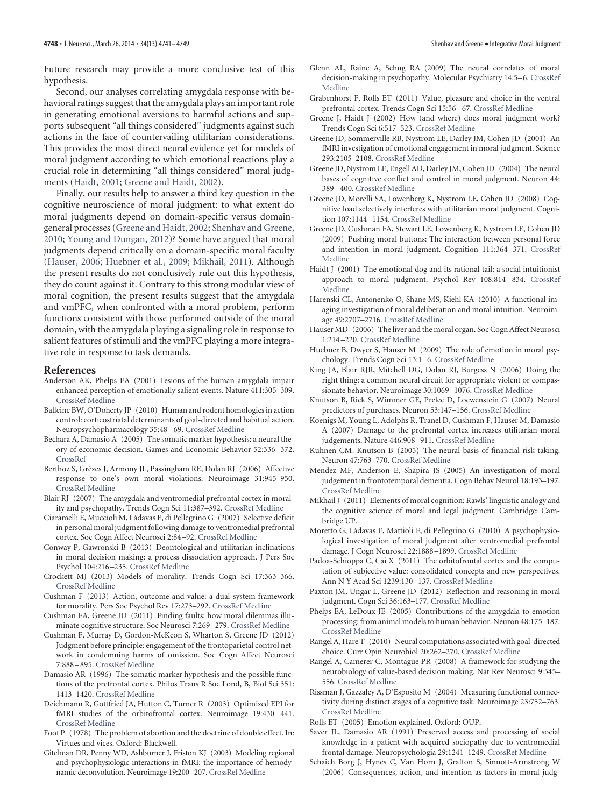Future research may provide a more conclusive test of this hypothesis.

Second, our analyses correlating amygdala response with behavioral ratings suggest that the amygdala plays an important role in generating emotional aversions to harmful actions and supports subsequent "all things considered" judgments against such actions in the face of countervailing utilitarian considerations. This provides the most direct neural evidence yet for models of moral judgment according to which emotional reactions play a crucial role in determining "all things considered" moral judgments [\(Haidt, 2001;](#page-7-37) [Greene and Haidt, 2002\)](#page-7-38).

Finally, our results help to answer a third key question in the cognitive neuroscience of moral judgment: to what extent do moral judgments depend on domain-specific versus domaingeneral processes [\(Greene and Haidt, 2002;](#page-7-38) [Shenhav and Greene,](#page-8-6) [2010;](#page-8-6) [Young and Dungan, 2012\)](#page-8-10)? Some have argued that moral judgments depend critically on a domain-specific moral faculty [\(Hauser, 2006;](#page-7-39) [Huebner et al., 2009;](#page-7-40) [Mikhail, 2011\)](#page-7-41). Although the present results do not conclusively rule out this hypothesis, they do count against it. Contrary to this strong modular view of moral cognition, the present results suggest that the amygdala and vmPFC, when confronted with a moral problem, perform functions consistent with those performed outside of the moral domain, with the amygdala playing a signaling role in response to salient features of stimuli and the vmPFC playing a more integrative role in response to task demands.

#### **References**

- <span id="page-7-32"></span>Anderson AK, Phelps EA (2001) Lesions of the human amygdala impair enhanced perception of emotionally salient events. Nature 411:305–309. [CrossRef](http://dx.doi.org/10.1038/35077083) [Medline](http://www.ncbi.nlm.nih.gov/pubmed/11357132)
- <span id="page-7-31"></span>Balleine BW, O'Doherty JP (2010) Human and rodent homologies in action control: corticostriatal determinants of goal-directed and habitual action. Neuropsychopharmacology 35:48 –69. [CrossRef](http://dx.doi.org/10.1038/npp.2009.131) [Medline](http://www.ncbi.nlm.nih.gov/pubmed/19776734)
- <span id="page-7-28"></span>Bechara A, Damasio A (2005) The somatic marker hypothesis: a neural theory of economic decision. Games and Economic Behavior 52:336 –372. [CrossRef](http://dx.doi.org/10.1016/j.geb.2004.06.010)
- <span id="page-7-15"></span>Berthoz S, Grèzes J, Armony JL, Passingham RE, Dolan RJ (2006) Affective response to one's own moral violations. Neuroimage 31:945–950. [CrossRef](http://dx.doi.org/10.1016/j.neuroimage.2005.12.039) [Medline](http://www.ncbi.nlm.nih.gov/pubmed/16490367)
- <span id="page-7-19"></span>Blair RJ (2007) The amygdala and ventromedial prefrontal cortex in morality and psychopathy. Trends Cogn Sci 11:387–392. [CrossRef](http://dx.doi.org/10.1016/j.tics.2007.07.003) [Medline](http://www.ncbi.nlm.nih.gov/pubmed/17707682)
- <span id="page-7-5"></span>Ciaramelli E, Muccioli M, La`davas E, di Pellegrino G (2007) Selective deficit in personal moral judgment following damage to ventromedial prefrontal cortex. Soc Cogn Affect Neurosci 2:84 –92. [CrossRef](http://dx.doi.org/10.1093/scan/nsm001) [Medline](http://www.ncbi.nlm.nih.gov/pubmed/18985127)
- <span id="page-7-10"></span>Conway P, Gawronski B (2013) Deontological and utilitarian inclinations in moral decision making: a process dissociation approach. J Pers Soc Psychol 104:216 –235. [CrossRef](http://dx.doi.org/10.1037/a0031021) [Medline](http://www.ncbi.nlm.nih.gov/pubmed/23276267)
- <span id="page-7-34"></span>Crockett MJ (2013) Models of morality. Trends Cogn Sci 17:363–366. [CrossRef](http://dx.doi.org/10.1016/j.tics.2013.06.005) [Medline](http://www.ncbi.nlm.nih.gov/pubmed/23845564)
- <span id="page-7-35"></span>Cushman F (2013) Action, outcome and value: a dual-system framework for morality. Pers Soc Psychol Rev 17:273–292. [CrossRef](http://dx.doi.org/10.1177/1088868313495594) [Medline](http://www.ncbi.nlm.nih.gov/pubmed/23861355)
- <span id="page-7-0"></span>Cushman FA, Greene JD (2011) Finding faults: how moral dilemmas illuminate cognitive structure. Soc Neurosci 7:269 –279. [CrossRef](http://dx.doi.org/10.1080/17470919.2011.614000) [Medline](http://www.ncbi.nlm.nih.gov/pubmed/21942995)
- <span id="page-7-8"></span>Cushman F, Murray D, Gordon-McKeon S, Wharton S, Greene JD (2012) Judgment before principle: engagement of the frontoparietal control network in condemning harms of omission. Soc Cogn Affect Neurosci 7:888 –895. [CrossRef](http://dx.doi.org/10.1093/scan/nsr072) [Medline](http://www.ncbi.nlm.nih.gov/pubmed/22114079)
- <span id="page-7-27"></span>Damasio AR (1996) The somatic marker hypothesis and the possible functions of the prefrontal cortex. Philos Trans R Soc Lond, B, Biol Sci 351: 1413–1420. [CrossRef](http://dx.doi.org/10.1098/rstb.1996.0125) [Medline](http://www.ncbi.nlm.nih.gov/pubmed/8941953)
- <span id="page-7-21"></span>Deichmann R, Gottfried JA, Hutton C, Turner R (2003) Optimized EPI for fMRI studies of the orbitofrontal cortex. Neuroimage 19:430 –441. [CrossRef](http://dx.doi.org/10.1016/S1053-8119(03)00073-9) [Medline](http://www.ncbi.nlm.nih.gov/pubmed/12814592)
- <span id="page-7-11"></span>Foot P (1978) The problem of abortion and the doctrine of double effect. In: Virtues and vices. Oxford: Blackwell.
- <span id="page-7-25"></span>Gitelman DR, Penny WD, Ashburner J, Friston KJ (2003) Modeling regional and psychophysiologic interactions in fMRI: the importance of hemodynamic deconvolution. Neuroimage 19:200 –207. [CrossRef](http://dx.doi.org/10.1016/S1053-8119(03)00058-2) [Medline](http://www.ncbi.nlm.nih.gov/pubmed/12781739)
- <span id="page-7-13"></span>Glenn AL, Raine A, Schug RA (2009) The neural correlates of moral decision-making in psychopathy. Molecular Psychiatry 14:5–6. [CrossRef](http://dx.doi.org/10.1038/mp.2008.104) [Medline](http://www.ncbi.nlm.nih.gov/pubmed/19096450)
- <span id="page-7-17"></span>Grabenhorst F, Rolls ET (2011) Value, pleasure and choice in the ventral prefrontal cortex. Trends Cogn Sci 15:56 –67. [CrossRef](http://dx.doi.org/10.1016/j.tics.2010.12.004) [Medline](http://www.ncbi.nlm.nih.gov/pubmed/21216655)
- <span id="page-7-38"></span>Greene J, Haidt J (2002) How (and where) does moral judgment work? Trends Cogn Sci 6:517–523. [CrossRef](http://dx.doi.org/10.1016/S1364-6613(02)02011-9) [Medline](http://www.ncbi.nlm.nih.gov/pubmed/12475712)
- <span id="page-7-1"></span>Greene JD, Sommerville RB, Nystrom LE, Darley JM, Cohen JD (2001) An fMRI investigation of emotional engagement in moral judgment. Science 293:2105–2108. [CrossRef](http://dx.doi.org/10.1126/science.1062872) [Medline](http://www.ncbi.nlm.nih.gov/pubmed/11557895)
- <span id="page-7-2"></span>Greene JD, Nystrom LE, Engell AD, Darley JM, Cohen JD (2004) The neural bases of cognitive conflict and control in moral judgment. Neuron 44: 389 –400. [CrossRef](http://dx.doi.org/10.1016/j.neuron.2004.09.027) [Medline](http://www.ncbi.nlm.nih.gov/pubmed/15473975)
- <span id="page-7-7"></span>Greene JD, Morelli SA, Lowenberg K, Nystrom LE, Cohen JD (2008) Cognitive load selectively interferes with utilitarian moral judgment. Cognition 107:1144 –1154. [CrossRef](http://dx.doi.org/10.1016/j.cognition.2007.11.004) [Medline](http://www.ncbi.nlm.nih.gov/pubmed/18158145)
- <span id="page-7-20"></span>Greene JD, Cushman FA, Stewart LE, Lowenberg K, Nystrom LE, Cohen JD (2009) Pushing moral buttons: The interaction between personal force and intention in moral judgment. Cognition 111:364 –371. [CrossRef](http://dx.doi.org/10.1016/j.cognition.2009.02.001) [Medline](http://www.ncbi.nlm.nih.gov/pubmed/19375075)
- <span id="page-7-37"></span>Haidt J (2001) The emotional dog and its rational tail: a social intuitionist approach to moral judgment. Psychol Rev 108:814 –834. [CrossRef](http://dx.doi.org/10.1037/0033-295X.108.4.814) [Medline](http://www.ncbi.nlm.nih.gov/pubmed/11699120)
- <span id="page-7-26"></span>Harenski CL, Antonenko O, Shane MS, Kiehl KA (2010) A functional imaging investigation of moral deliberation and moral intuition. Neuroimage 49:2707–2716. [CrossRef](http://dx.doi.org/10.1016/j.neuroimage.2009.10.062) [Medline](http://www.ncbi.nlm.nih.gov/pubmed/19878727)
- <span id="page-7-39"></span>Hauser MD (2006) The liver and the moral organ. Soc Cogn Affect Neurosci 1:214 –220. [CrossRef](http://dx.doi.org/10.1093/scan/nsl026) [Medline](http://www.ncbi.nlm.nih.gov/pubmed/18985108)
- <span id="page-7-40"></span>Huebner B, Dwyer S, Hauser M (2009) The role of emotion in moral psychology. Trends Cogn Sci 13:1–6. [CrossRef](http://dx.doi.org/10.1016/j.tics.2008.09.006) [Medline](http://www.ncbi.nlm.nih.gov/pubmed/19058993)
- <span id="page-7-14"></span>King JA, Blair RJR, Mitchell DG, Dolan RJ, Burgess N (2006) Doing the right thing: a common neural circuit for appropriate violent or compassionate behavior. Neuroimage 30:1069 –1076. [CrossRef](http://dx.doi.org/10.1016/j.neuroimage.2005.10.011) [Medline](http://www.ncbi.nlm.nih.gov/pubmed/16307895)
- <span id="page-7-23"></span>Knutson B, Rick S, Wimmer GE, Prelec D, Loewenstein G (2007) Neural predictors of purchases. Neuron 53:147–156. [CrossRef](http://dx.doi.org/10.1016/j.neuron.2006.11.010) [Medline](http://www.ncbi.nlm.nih.gov/pubmed/17196537)
- <span id="page-7-6"></span>Koenigs M, Young L, Adolphs R, Tranel D, Cushman F, Hauser M, Damasio A (2007) Damage to the prefrontal cortex increases utilitarian moral judgements. Nature 446:908 –911. [CrossRef](http://dx.doi.org/10.1038/nature05631) [Medline](http://www.ncbi.nlm.nih.gov/pubmed/17377536)
- <span id="page-7-22"></span>Kuhnen CM, Knutson B (2005) The neural basis of financial risk taking. Neuron 47:763–770. [CrossRef](http://dx.doi.org/10.1016/j.neuron.2005.08.008) [Medline](http://www.ncbi.nlm.nih.gov/pubmed/16129404)
- <span id="page-7-3"></span>Mendez MF, Anderson E, Shapira JS (2005) An investigation of moral judgement in frontotemporal dementia. Cogn Behav Neurol 18:193–197. [CrossRef](http://dx.doi.org/10.1097/01.wnn.0000191292.17964.bb) [Medline](http://www.ncbi.nlm.nih.gov/pubmed/16340391)
- <span id="page-7-41"></span>Mikhail J (2011) Elements of moral cognition: Rawls' linguistic analogy and the cognitive science of moral and legal judgment. Cambridge: Cambridge UP.
- <span id="page-7-12"></span>Moretto G, Làdavas E, Mattioli F, di Pellegrino G (2010) A psychophysiological investigation of moral judgment after ventromedial prefrontal damage. J Cogn Neurosci 22:1888 –1899. [CrossRef](http://dx.doi.org/10.1162/jocn.2009.21367) [Medline](http://www.ncbi.nlm.nih.gov/pubmed/19925181)
- <span id="page-7-18"></span>Padoa-Schioppa C, Cai X (2011) The orbitofrontal cortex and the computation of subjective value: consolidated concepts and new perspectives. Ann N Y Acad Sci 1239:130 –137. [CrossRef](http://dx.doi.org/10.1111/j.1749-6632.2011.06262.x) [Medline](http://www.ncbi.nlm.nih.gov/pubmed/22145882)
- <span id="page-7-9"></span>Paxton JM, Ungar L, Greene JD (2012) Reflection and reasoning in moral judgment. Cogn Sci 36:163–177. [CrossRef](http://dx.doi.org/10.1111/j.1551-6709.2011.01210.x) [Medline](http://www.ncbi.nlm.nih.gov/pubmed/22049931)
- <span id="page-7-33"></span>Phelps EA, LeDoux JE (2005) Contributions of the amygdala to emotion processing: from animal models to human behavior. Neuron 48:175–187. [CrossRef](http://dx.doi.org/10.1016/j.neuron.2005.09.025) [Medline](http://www.ncbi.nlm.nih.gov/pubmed/16242399)
- <span id="page-7-16"></span>Rangel A, Hare T (2010) Neural computations associated with goal-directed choice. Curr Opin Neurobiol 20:262–270. [CrossRef](http://dx.doi.org/10.1016/j.conb.2010.03.001) [Medline](http://www.ncbi.nlm.nih.gov/pubmed/20338744)
- <span id="page-7-30"></span>Rangel A, Camerer C, Montague PR (2008) A framework for studying the neurobiology of value-based decision making. Nat Rev Neurosci 9:545– 556. [CrossRef](http://dx.doi.org/10.1038/nrn2357) [Medline](http://www.ncbi.nlm.nih.gov/pubmed/18545266)
- <span id="page-7-24"></span>Rissman J, Gazzaley A, D'Esposito M (2004) Measuring functional connectivity during distinct stages of a cognitive task. Neuroimage 23:752–763. [CrossRef](http://dx.doi.org/10.1016/j.neuroimage.2004.06.035) [Medline](http://www.ncbi.nlm.nih.gov/pubmed/15488425)
- <span id="page-7-36"></span><span id="page-7-29"></span>Rolls ET (2005) Emotion explained. Oxford: OUP.
- Saver JL, Damasio AR (1991) Preserved access and processing of social knowledge in a patient with acquired sociopathy due to ventromedial frontal damage. Neuropsychologia 29:1241–1249. [CrossRef](http://dx.doi.org/10.1016/0028-3932(91)90037-9) [Medline](http://www.ncbi.nlm.nih.gov/pubmed/1791934)
- <span id="page-7-4"></span>Schaich Borg J, Hynes C, Van Horn J, Grafton S, Sinnott-Armstrong W (2006) Consequences, action, and intention as factors in moral judg-